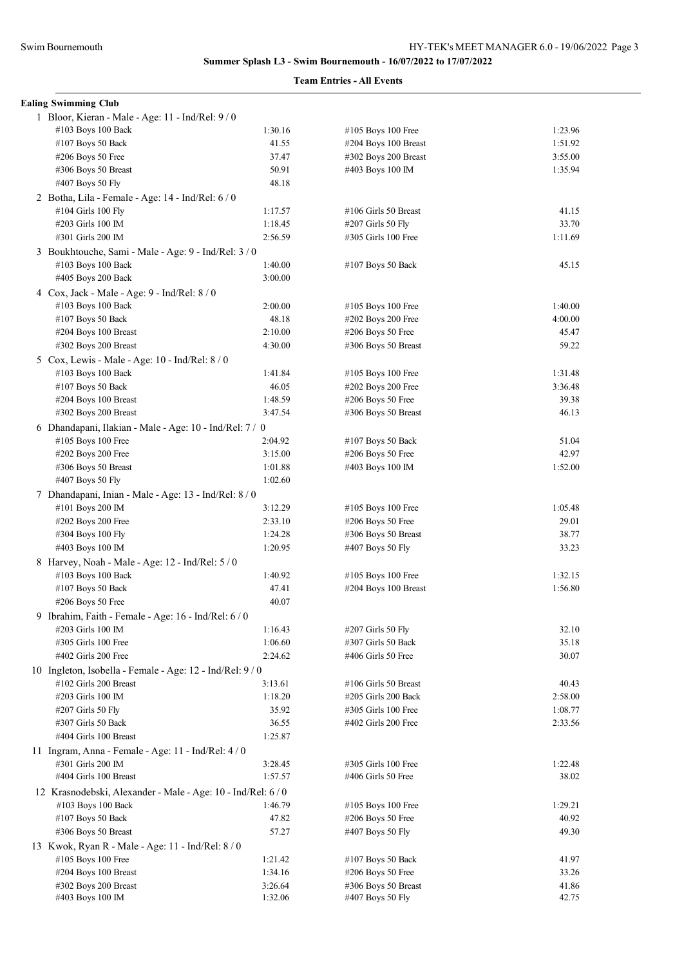**Summer Splash L3 - Swim Bournemouth - 16/07/2022 to 17/07/2022**

## **Team Entries - All Events**

|  | <b>Ealing Swimming Club</b>                                               |         |                       |         |  |  |
|--|---------------------------------------------------------------------------|---------|-----------------------|---------|--|--|
|  | 1 Bloor, Kieran - Male - Age: 11 - Ind/Rel: 9/0                           |         |                       |         |  |  |
|  | #103 Boys 100 Back                                                        | 1:30.16 | #105 Boys 100 Free    | 1:23.96 |  |  |
|  | #107 Boys 50 Back                                                         | 41.55   | #204 Boys 100 Breast  | 1:51.92 |  |  |
|  | $#206$ Boys 50 Free                                                       | 37.47   | #302 Boys 200 Breast  | 3:55.00 |  |  |
|  | #306 Boys 50 Breast                                                       | 50.91   | #403 Boys 100 IM      | 1:35.94 |  |  |
|  | #407 Boys 50 Fly                                                          | 48.18   |                       |         |  |  |
|  | 2 Botha, Lila - Female - Age: 14 - Ind/Rel: 6/0                           |         |                       |         |  |  |
|  | #104 Girls 100 Fly                                                        | 1:17.57 | #106 Girls 50 Breast  | 41.15   |  |  |
|  | #203 Girls 100 IM                                                         | 1:18.45 | #207 Girls 50 Fly     | 33.70   |  |  |
|  | #301 Girls 200 IM                                                         | 2:56.59 | #305 Girls 100 Free   | 1:11.69 |  |  |
|  | 3 Boukhtouche, Sami - Male - Age: 9 - Ind/Rel: 3/0                        |         |                       |         |  |  |
|  | #103 Boys 100 Back                                                        | 1:40.00 | #107 Boys 50 Back     | 45.15   |  |  |
|  | #405 Boys 200 Back                                                        | 3:00.00 |                       |         |  |  |
|  |                                                                           |         |                       |         |  |  |
|  | 4 Cox, Jack - Male - Age: 9 - Ind/Rel: 8 / 0                              |         |                       |         |  |  |
|  | #103 Boys 100 Back                                                        | 2:00.00 | #105 Boys 100 Free    | 1:40.00 |  |  |
|  | #107 Boys 50 Back                                                         | 48.18   | #202 Boys 200 Free    | 4:00.00 |  |  |
|  | #204 Boys 100 Breast                                                      | 2:10.00 | $#206$ Boys 50 Free   | 45.47   |  |  |
|  | #302 Boys 200 Breast                                                      | 4:30.00 | #306 Boys 50 Breast   | 59.22   |  |  |
|  | 5 Cox, Lewis - Male - Age: $10$ - Ind/Rel: $8/0$                          |         |                       |         |  |  |
|  | #103 Boys 100 Back                                                        | 1:41.84 | #105 Boys 100 Free    | 1:31.48 |  |  |
|  | #107 Boys 50 Back                                                         | 46.05   | #202 Boys 200 Free    | 3:36.48 |  |  |
|  | #204 Boys 100 Breast                                                      | 1:48.59 | #206 Boys 50 Free     | 39.38   |  |  |
|  | #302 Boys 200 Breast                                                      | 3:47.54 | #306 Boys 50 Breast   | 46.13   |  |  |
|  | 6 Dhandapani, Ilakian - Male - Age: 10 - Ind/Rel: 7/ 0                    |         |                       |         |  |  |
|  | #105 Boys 100 Free                                                        | 2:04.92 | #107 Boys 50 Back     | 51.04   |  |  |
|  | #202 Boys 200 Free                                                        | 3:15.00 | $#206$ Boys 50 Free   | 42.97   |  |  |
|  | #306 Boys 50 Breast                                                       | 1:01.88 | #403 Boys 100 IM      | 1:52.00 |  |  |
|  | #407 Boys 50 Fly                                                          | 1:02.60 |                       |         |  |  |
|  | 7 Dhandapani, Inian - Male - Age: 13 - Ind/Rel: 8 / 0                     |         |                       |         |  |  |
|  | #101 Boys 200 IM                                                          | 3:12.29 | #105 Boys 100 Free    | 1:05.48 |  |  |
|  | #202 Boys 200 Free                                                        | 2:33.10 | $#206$ Boys 50 Free   | 29.01   |  |  |
|  | #304 Boys 100 Fly                                                         | 1:24.28 | #306 Boys 50 Breast   | 38.77   |  |  |
|  | #403 Boys 100 IM                                                          | 1:20.95 | #407 Boys 50 Fly      | 33.23   |  |  |
|  | 8 Harvey, Noah - Male - Age: 12 - Ind/Rel: 5 / 0                          |         |                       |         |  |  |
|  | #103 Boys 100 Back                                                        | 1:40.92 | #105 Boys 100 Free    | 1:32.15 |  |  |
|  | #107 Boys 50 Back                                                         | 47.41   | #204 Boys 100 Breast  | 1:56.80 |  |  |
|  | #206 Boys 50 Free                                                         | 40.07   |                       |         |  |  |
|  |                                                                           |         |                       |         |  |  |
|  | 9 Ibrahim, Faith - Female - Age: 16 - Ind/Rel: 6 / 0<br>#203 Girls 100 IM |         |                       | 32.10   |  |  |
|  |                                                                           | 1:16.43 | #207 Girls 50 Fly     |         |  |  |
|  | #305 Girls 100 Free                                                       | 1:06.60 | #307 Girls 50 Back    | 35.18   |  |  |
|  | $\#402$ Girls 200 Free                                                    | 2:24.62 | $\#406$ Girls 50 Free | 30.07   |  |  |
|  | 10 Ingleton, Isobella - Female - Age: 12 - Ind/Rel: 9/0                   |         |                       |         |  |  |
|  | #102 Girls 200 Breast                                                     | 3:13.61 | #106 Girls 50 Breast  | 40.43   |  |  |
|  | #203 Girls 100 IM                                                         | 1:18.20 | #205 Girls 200 Back   | 2:58.00 |  |  |
|  | #207 Girls 50 Fly                                                         | 35.92   | #305 Girls 100 Free   | 1:08.77 |  |  |
|  | #307 Girls 50 Back                                                        | 36.55   | #402 Girls 200 Free   | 2:33.56 |  |  |
|  | #404 Girls 100 Breast                                                     | 1:25.87 |                       |         |  |  |
|  | 11 Ingram, Anna - Female - Age: $11$ - Ind/Rel: $4/0$                     |         |                       |         |  |  |
|  | #301 Girls 200 IM                                                         | 3:28.45 | #305 Girls 100 Free   | 1:22.48 |  |  |
|  | #404 Girls 100 Breast                                                     | 1:57.57 | #406 Girls 50 Free    | 38.02   |  |  |
|  | 12 Krasnodebski, Alexander - Male - Age: 10 - Ind/Rel: 6/0                |         |                       |         |  |  |
|  | #103 Boys 100 Back                                                        | 1:46.79 | $\#105$ Boys 100 Free | 1:29.21 |  |  |
|  | #107 Boys 50 Back                                                         | 47.82   | $#206$ Boys 50 Free   | 40.92   |  |  |
|  | #306 Boys 50 Breast                                                       | 57.27   | #407 Boys 50 Fly      | 49.30   |  |  |
|  | 13 Kwok, Ryan R - Male - Age: 11 - Ind/Rel: 8/0                           |         |                       |         |  |  |
|  | #105 Boys 100 Free                                                        | 1:21.42 | #107 Boys 50 Back     | 41.97   |  |  |
|  | #204 Boys 100 Breast                                                      | 1:34.16 | $#206$ Boys 50 Free   | 33.26   |  |  |
|  | #302 Boys 200 Breast                                                      | 3:26.64 | #306 Boys 50 Breast   | 41.86   |  |  |
|  | #403 Boys 100 IM                                                          | 1:32.06 | #407 Boys 50 Fly      | 42.75   |  |  |
|  |                                                                           |         |                       |         |  |  |